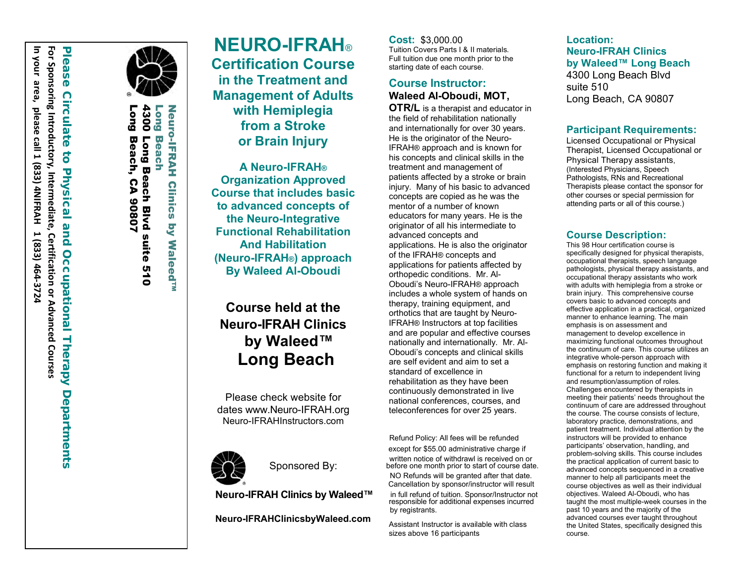

**Fong** Long Beach, CA 4300 Long Beach Blvd suite 510 **Long** Long Beach **Neuro-IFRAH** Neuro-IFRAH Clinics by Waleed™ 300 Long Beach Blvd suite 510 **Beac** Beach, Š CA 90807 **S** 

**Clinics** 

**Waleed<sup>TN</sup>** 

**NEURO -IF RAH** ® **Certification Course in the Treatment and Management of Adults with Hemiplegia from a Stroke or Brain Injury**

**A Neuro-IFRAH ® Organization Approved Course that includes basic to advanced concepts of the Neuro-I ntegrative Functional Rehabilitation And Habilitation (Neuro-IFRAH ® ) approach By Waleed Al-Oboudi**

# **Course held at the Neuro-I F RAH Clinic s by Waleed™ Long Beach**

Please check website for dates www.Neuro-IFRAH.org Neuro-IFRAHInstructors.com



Sponsored By:

**Neuro-IFRAH Clinics by Waleed™**

**Neuro-IFRAHClinicsbyWaleed.com**

**Cost:** \$ 3 , 000.00 Tuition Covers Parts I & II materials. Full tuition due one month prior to the starting date of each course.

# **Course Instructor: Waleed Al -Oboudi, MOT,**

**OTR/L** is a therapist and educator in the field of rehabilitation nationally and internationally for over 30 years. He is the originator of the Neuro - IFRAH ® approach and is known for his concepts and clinical skills in the treatment and management of patients affected by a stroke or brain injury. Many of his basic to advanced concepts are copied as he was the mentor of a number of known educators for many years. He is the originator of all his intermediate to advanced concepts and applications. He is also the originator of the IFRAH ® concepts and applications for patients affected by orthopedic conditions. Mr. Al - Oboudi's Neuro -IFRAH ® approach includes a whole system of hands on therapy, training equipment, and orthotics that are taught by Neuro - IFRAH ® Instructors at top facilities and are popular and effective courses nationally and internationally. Mr. Al - Oboudi's concepts and clinical skills are self evident and aim to set a standard of excellence in rehabilitation as they have been continuously demonstrated in live national conferences, courses, and teleconferences for over 25 years.

Refund Policy: All fees will be refunded except for \$55.00 administrative charge if written notice of withdrawl is received on or before one month prior to start of course date. NO Refunds will be granted after that date. Cancellation by sponsor/instructor will result

in full refund of tuition. Sponsor/Instructor not responsible for additional expenses incurred by registrants.

Assistant Instructor is available with class sizes above 16 participants

**Location: Neuro-IF R A H Clinic s by Waleed™ Long Beach** 4300 Long Beach Blvd suite 510 Long Beach, CA 90807

# **Participant Requirements:**

Licensed Occupational or Physical Therapist, Licensed Occupational or Physical Therapy assistants , (Interested Physicians, Speech Pathologists, RNs and Recreational Therapists please contact the sponsor for other courses or special permission for attending parts or all of this course.)

## **Course Description:**

This 98 Hour certification c ourse is specifically designed for physical therapists, occupational therapists, speech language pathologists, physical therapy assistants, and occupational therapy assistants who work with adults with hemiplegia from a stroke or brain injury. This comprehensive course covers basic to advanced concepts and effective application in a practical, organized manner to enhance learning. The main emphasis is on assessment and management to develop excellence in maximizing functional outcomes throughout the continuum of care. This course utilizes an integrative whole-person approach with emphasis on restoring function and making it functional for a return to independent living and resumption/assumption of roles. Challenges encountered by therapists in meeting their patients' needs throughout the continuum of care are addressed throughout the course. The course consists of lecture, laboratory practice, demonstrations, and patient treatment. Individual attention by the instructors will be provided to enhance participants' observation, handling, and problem-solving skills. This course includes the practical application of current basic to advanced concepts sequenced in a creative manner to help all participants meet the course objectives as well as their individual objectives. Waleed Al-Oboudi, who has taught the most multiple-week courses in the past 10 years and the majority of the advanced courses ever taught throughout the United States, specifically designed this course.